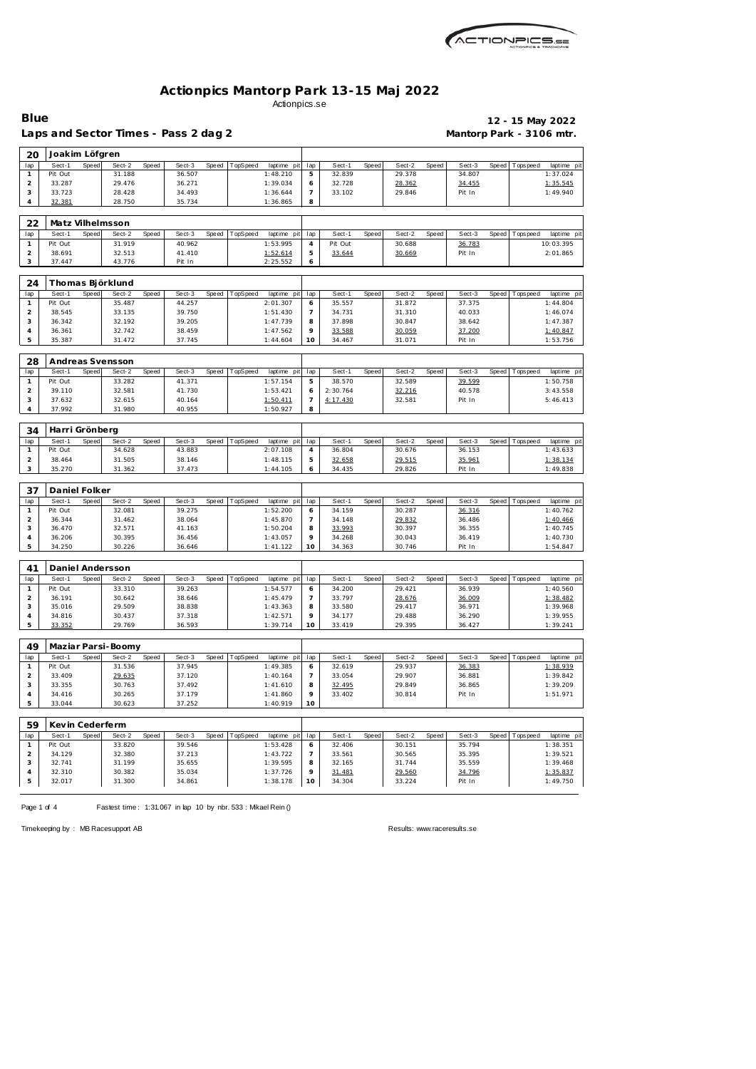

## **Actionpics Mantorp Park 13-15 Maj 2022** Actionpics.se

Laps and Sector Times - Pass 2 dag 2 **Mantorp Park - 3106 mtr.** 

 **Joakim Löfgren**

**Blue 12 - 15 May 2022**

|                         | Sect-1          | Speed | Sect-2             | Speed | Sect-3 | Speed | TopSpeed | laptime pit             | lap            | Sect-1   | Speed | Sect-2 | Speed | Sect-3 |       | Speed   Topspeed | laptime pi              |
|-------------------------|-----------------|-------|--------------------|-------|--------|-------|----------|-------------------------|----------------|----------|-------|--------|-------|--------|-------|------------------|-------------------------|
| $\mathbf{1}$            | Pit Out         |       | 31.188             |       | 36.507 |       |          | 1:48.210                | 5              | 32.839   |       | 29.378 |       | 34.807 |       |                  | 1:37.024                |
| $\overline{a}$          | 33.287          |       | 29.476             |       | 36.271 |       |          | 1:39.034                | 6              | 32.728   |       | 28.362 |       | 34.455 |       |                  | 1:35.545                |
| 3                       | 33.723          |       | 28.428             |       | 34.493 |       |          | 1:36.644                | 7              | 33.102   |       | 29.846 |       | Pit In |       |                  | 1:49.940                |
| 4                       | 32.381          |       | 28.750             |       | 35.734 |       |          | 1:36.865                | 8              |          |       |        |       |        |       |                  |                         |
|                         |                 |       |                    |       |        |       |          |                         |                |          |       |        |       |        |       |                  |                         |
| 22                      |                 |       | Matz Vilhelmsson   |       |        |       |          |                         |                |          |       |        |       |        |       |                  |                         |
| lap                     | Sect-1          | Speed | Sect-2             | Speed | Sect-3 | Speed | TopSpeed | laptime pit             | lap            | Sect-1   | Speed | Sect-2 | Speed | Sect-3 | Speed | Tops peed        | laptime pi              |
| $\mathbf{1}$            | Pit Out         |       | 31.919             |       | 40.962 |       |          | 1:53.995                | $\overline{4}$ | Pit Out  |       | 30.688 |       | 36.783 |       |                  | 10:03.395               |
| $\overline{\mathbf{c}}$ | 38.691          |       | 32.513             |       | 41.410 |       |          | 1:52.614                | 5              | 33.644   |       | 30.669 |       | Pit In |       |                  | 2:01.865                |
| 3                       | 37.447          |       | 43.776             |       | Pit In |       |          | 2:25.552                | 6              |          |       |        |       |        |       |                  |                         |
|                         |                 |       |                    |       |        |       |          |                         |                |          |       |        |       |        |       |                  |                         |
| 24                      |                 |       | Thomas Björklund   |       |        |       |          |                         |                |          |       |        |       |        |       |                  |                         |
| lap                     | Sect-1          | Speed | Sect-2             | Speed | Sect-3 | Speed | TopSpeed | laptime pit             | lap            | Sect-1   | Speed | Sect-2 | Speed | Sect-3 | Speed | Tops pee d       | laptime pi              |
| $\mathbf{1}$            | Pit Out         |       | 35.487             |       | 44.257 |       |          | 2:01.307                | 6              | 35.557   |       | 31.872 |       | 37.375 |       |                  | 1:44.804                |
| $\overline{a}$          | 38.545          |       | 33.135             |       | 39.750 |       |          | 1:51.430                | $\overline{7}$ | 34.731   |       | 31.310 |       | 40.033 |       |                  | 1:46.074                |
| 3                       | 36.342          |       | 32.192             |       | 39.205 |       |          | 1:47.739                | 8              | 37.898   |       | 30.847 |       | 38.642 |       |                  | 1:47.387                |
| 4                       | 36.361          |       | 32.742             |       | 38.459 |       |          | 1:47.562                | 9              | 33.588   |       | 30.059 |       | 37.200 |       |                  | 1:40.847                |
| 5                       | 35.387          |       | 31.472             |       | 37.745 |       |          | 1:44.604                | 10             | 34.467   |       | 31.071 |       | Pit In |       |                  | 1:53.756                |
|                         |                 |       |                    |       |        |       |          |                         |                |          |       |        |       |        |       |                  |                         |
| 28                      |                 |       | Andreas Svensson   |       |        |       |          |                         |                |          |       |        |       |        |       |                  |                         |
| lap                     | Sect-1          | Speed | Sect-2             | Speed | Sect-3 | Speed | TopSpeed | laptime pit             | lap            | Sect-1   | Speed | Sect-2 | Speed | Sect-3 | Speed | Tops peed        | laptime pi              |
| $\mathbf{1}$            | Pit Out         |       | 33.282             |       | 41.371 |       |          | 1:57.154                | 5              | 38.570   |       | 32.589 |       | 39.599 |       |                  | 1:50.758                |
| $\overline{a}$          | 39.110          |       | 32.581             |       | 41.730 |       |          | 1:53.421                | 6              | 2:30.764 |       | 32.216 |       | 40.578 |       |                  | 3:43.558                |
| 3                       | 37.632          |       | 32.615             |       | 40.164 |       |          | 1:50.411                | 7              | 4:17.430 |       | 32.581 |       | Pit In |       |                  | 5:46.413                |
| $\overline{4}$          | 37.992          |       | 31.980             |       | 40.955 |       |          | 1:50.927                | 8              |          |       |        |       |        |       |                  |                         |
|                         |                 |       |                    |       |        |       |          |                         |                |          |       |        |       |        |       |                  |                         |
| 34                      | Harri Grönberg  |       |                    |       |        |       |          |                         |                |          |       |        |       |        |       |                  |                         |
| lap                     | Sect-1          | Speed | Sect-2             | Speed | Sect-3 | Speed | TopSpeed | laptime pit             | lap            | Sect-1   | Speed | Sect-2 | Speed | Sect-3 | Speed | Tops pee d       | laptime pi              |
| $\mathbf{1}$            | Pit Out         |       | 34.628             |       | 43.883 |       |          | 2:07.108                | $\overline{4}$ | 36.804   |       | 30.676 |       | 36.153 |       |                  | 1:43.633                |
| $\overline{\mathbf{c}}$ | 38.464          |       | 31.505             |       | 38.146 |       |          | 1:48.115                | 5              | 32.658   |       | 29.515 |       | 35.961 |       |                  | 1:38.134                |
| 3                       | 35.270          |       | 31.362             |       | 37.473 |       |          | 1:44.105                | 6              | 34.435   |       | 29.826 |       | Pit In |       |                  | 1:49.838                |
|                         |                 |       |                    |       |        |       |          |                         |                |          |       |        |       |        |       |                  |                         |
|                         |                 |       |                    |       |        |       |          |                         |                |          |       |        |       |        |       |                  |                         |
| 37                      | Daniel Folker   |       |                    |       |        |       |          |                         |                |          |       |        |       |        |       |                  |                         |
| lap                     | Sect-1          | Speed | Sect-2             |       | Sect-3 | Speed |          |                         |                | Sect-1   | Speed | Sect-2 | Speed | Sect-3 | Speed | Topspeed         |                         |
| $\mathbf{1}$            | Pit Out         |       | 32.081             | Speed | 39.275 |       | TopSpeed | laptime pit<br>1:52.200 | lap<br>6       | 34.159   |       | 30.287 |       | 36.316 |       |                  | 1:40.762                |
| $\overline{a}$          | 36.344          |       | 31.462             |       | 38.064 |       |          | 1:45.870                | $\overline{7}$ | 34.148   |       | 29.832 |       | 36.486 |       |                  | 1:40.466                |
| 3                       | 36.470          |       | 32.571             |       | 41.163 |       |          | 1:50.204                | 8              | 33.993   |       | 30.397 |       | 36.355 |       |                  | 1:40.745                |
| 4                       | 36.206          |       | 30.395             |       | 36.456 |       |          | 1:43.057                | 9              | 34.268   |       | 30.043 |       | 36.419 |       |                  | 1:40.730                |
| 5                       | 34.250          |       | 30.226             |       | 36.646 |       |          | 1:41.122                | 10             | 34.363   |       | 30.746 |       | Pit In |       |                  | 1:54.847                |
|                         |                 |       |                    |       |        |       |          |                         |                |          |       |        |       |        |       |                  |                         |
| 41                      |                 |       | Daniel Andersson   |       |        |       |          |                         |                |          |       |        |       |        |       |                  | laptime pi              |
| lap                     | Sect-1          | Speed | Sect-2             | Speed | Sect-3 | Speed | TopSpeed | laptime pit             | lap            | Sect-1   | Speed | Sect-2 | Speed | Sect-3 | Speed | Tops peed        | laptime pi              |
| $\mathbf{1}$            | Pit Out         |       | 33.310             |       | 39.263 |       |          | 1:54.577                | 6              | 34.200   |       | 29.421 |       | 36.939 |       |                  | 1:40.560                |
| $\overline{\mathbf{c}}$ | 36.191          |       | 30.642             |       | 38.646 |       |          | 1:45.479                | $\overline{7}$ | 33.797   |       | 28.676 |       | 36.009 |       |                  | 1:38.482                |
| 3                       | 35.016          |       | 29.509             |       | 38.838 |       |          | 1:43.363                | 8              | 33.580   |       | 29.417 |       | 36.971 |       |                  | 1:39.968                |
| 4                       | 34.816          |       | 30.437             |       | 37.318 |       |          | 1:42.571                | 9              | 34.177   |       | 29.488 |       | 36.290 |       |                  | 1:39.955                |
| 5                       | 33.352          |       | 29.769             |       | 36.593 |       |          | 1:39.714                | 10             | 33.419   |       | 29.395 |       | 36.427 |       |                  | 1:39.241                |
|                         |                 |       |                    |       |        |       |          |                         |                |          |       |        |       |        |       |                  |                         |
| 49                      |                 |       | Maziar Parsi-Boomy |       |        |       |          |                         |                |          |       |        |       |        |       |                  |                         |
| lap                     | Sect-1          | Speed | Sect-2             | Speed | Sect-3 | Speed | TopSpeed | laptime pit             | lap            | Sect-1   | Speed | Sect-2 | Speed | Sect-3 | Speed | Topspeed         |                         |
| $\mathbf{1}$            | Pit Out         |       | 31.536             |       | 37.945 |       |          | 1:49.385                | 6              | 32.619   |       | 29.937 |       | 36.383 |       |                  | 1:38.939                |
| $\overline{a}$          | 33.409          |       | 29.635             |       | 37.120 |       |          | 1:40.164                | $\overline{7}$ | 33.054   |       | 29.907 |       | 36.881 |       |                  | 1:39.842                |
| 3                       | 33.355          |       | 30.763             |       | 37.492 |       |          | 1:41.610                | 8              | 32.495   |       | 29.849 |       | 36.865 |       |                  | 1:39.209                |
| 4                       | 34.416          |       | 30.265             |       | 37.179 |       |          | 1:41.860                | 9              | 33.402   |       | 30.814 |       | Pit In |       |                  | 1:51.971                |
| 5                       | 33.044          |       | 30.623             |       | 37.252 |       |          | 1:40.919                | 10             |          |       |        |       |        |       |                  |                         |
|                         |                 |       |                    |       |        |       |          |                         |                |          |       |        |       |        |       |                  |                         |
| 59                      | Kevin Cederferm |       |                    |       |        |       |          |                         |                |          |       |        |       |        |       |                  |                         |
| lap                     | Sect-1          | Speed | Sect-2             | Speed | Sect-3 | Speed | TopSpeed | laptime pit             | lap            | Sect-1   | Speed | Sect-2 | Speed | Sect-3 | Speed | Tops peed        |                         |
| $\mathbf{1}$            | Pit Out         |       | 33.820             |       | 39.546 |       |          | 1:53.428                | 6              | 32.406   |       | 30.151 |       | 35.794 |       |                  | laptime pi<br>1:38.351  |
| $\overline{a}$          | 34.129          |       | 32.380             |       | 37.213 |       |          | 1:43.722                | 7              | 33.561   |       | 30.565 |       | 35.395 |       |                  | 1:39.521                |
| 3                       | 32.741          |       | 31.199             |       | 35.655 |       |          | 1:39.595                | 8              | 32.165   |       | 31.744 |       | 35.559 |       |                  | 1:39.468                |
| 4                       | 32.310          |       | 30.382             |       | 35.034 |       |          | 1:37.726                | 9              | 31.481   |       | 29.560 |       | 34.796 |       |                  | 1:35.837                |
| 5                       | 32.017          |       | 31.300             |       | 34.861 |       |          | 1:38.178                | 10             | 34.304   |       | 33.224 |       | Pit In |       |                  | laptime pit<br>1:49.750 |

Page 1 of 4 Fastest time: 1:31.067 in lap 10 by nbr. 533 : Mkael Rein ()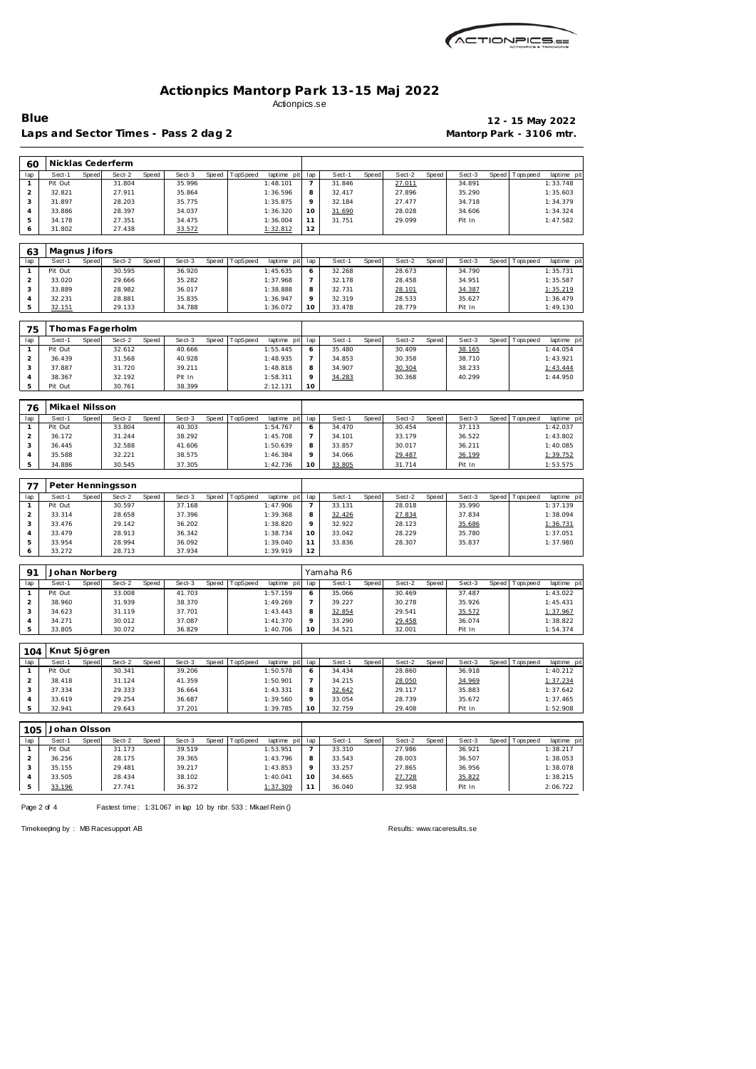

## **Actionpics Mantorp Park 13-15 Maj 2022** Actionpics.se

Laps and Sector Times - Pass 2 dag 2 **Mantorp Park - 3106 mtr.** 

**Blue 12 - 15 May 2022**

| lap<br>Sect-1<br>Speed<br>Sect-2<br>Speed<br>Sect-3<br>Speed<br>TopSpeed<br>Sect-1<br>Speed<br>Sect-2<br>Speed<br>Sect-3<br>Speed<br>laptime pit<br>lap<br>Tops peed<br>35.996<br>Pit Out<br>31.804<br>1:48.101<br>$\overline{7}$<br>31.846<br>27.011<br>34.891<br>1:33.748<br>$\mathbf{1}$<br>$\overline{c}$<br>32.821<br>27.911<br>35.864<br>1:36.596<br>32.417<br>27.896<br>35.290<br>1:35.603<br>8<br>3<br>9<br>31.897<br>28.203<br>35.775<br>1:35.875<br>32.184<br>27.477<br>34.718<br>1:34.379<br>$\overline{4}$<br>33.886<br>28.397<br>34.037<br>1:36.320<br>31.690<br>28.028<br>34.606<br>1:34.324<br>10<br>5<br>34.475<br>34.178<br>27.351<br>1:36.004<br>11<br>31.751<br>29.099<br>Pit In<br>1:47.582<br>6<br>31.802<br>27.438<br>12<br>33.572<br>1:32.812<br>63<br>Magnus Jifors<br>Sect-1<br>Speed<br>Sect-2<br>Speed<br>Sect-3<br>Speed<br>TopSpeed<br>laptime pit<br>Sect-1<br>Speed<br>Sect-2<br>Speed<br>Sect-3<br>Speed Topspeed<br>lap<br>lap<br>$\mathbf{1}$<br>Pit Out<br>30.595<br>36.920<br>1:45.635<br>32.268<br>28.673<br>34.790<br>1:35.731<br>6<br>$\mathbf 2$<br>33.020<br>29.666<br>32.178<br>34.951<br>35.282<br>1:37.968<br>$\overline{7}$<br>28.458<br>1:35.587<br>$\sqrt{3}$<br>33.889<br>28.982<br>36.017<br>1:38.888<br>8<br>32.731<br>28.101<br>34.387<br>1:35.219<br>$\overline{4}$<br>32.231<br>28.881<br>9<br>32.319<br>1:36.479<br>35.835<br>1:36.947<br>28.533<br>35.627<br>5<br>1:49.130<br>32.151<br>29.133<br>34.788<br>1:36.072<br>33.478<br>28.779<br>Pit In<br>10<br>75<br>Thomas Fagerholm<br>Speed<br>Speed<br>lap<br>Sect-1<br>Sect-2<br>Speed<br>Sect-3<br>TopSpeed<br>Sect-1<br>Speed<br>Sect-2<br>Speed<br>Sect-3<br>Speed<br>laptime pit<br>lap<br>Tops peed<br>Pit Out<br>1:55.445<br>35.480<br>30.409<br>$\mathbf{1}$<br>32.612<br>40.666<br>38.165<br>1:44.054<br>6<br>$\overline{c}$<br>$\overline{7}$<br>30.358<br>36.439<br>31.568<br>40.928<br>1:48.935<br>34.853<br>38.710<br>1:43.921<br>3<br>37.887<br>31.720<br>39.211<br>1:48.818<br>8<br>34.907<br>30.304<br>38.233<br>1:43.444<br>9<br>$\sqrt{4}$<br>38.367<br>32.192<br>Pit In<br>1:58.311<br>30.368<br>40.299<br>1:44.950<br>34.283<br>5<br>Pit Out<br>30.761<br>38.399<br>10<br>2:12.131<br>76<br>Mikael Nilsson<br>lap<br>Sect-1<br>Speed<br>Sect-2<br>Speed<br>Sect-3<br>Speed<br>TopSpeed<br>Sect-1<br>Speed<br>Sect-2<br>Speed<br>Sect-3<br>Speed<br>Tops peed<br>laptime pit<br>lap<br>Pit Out<br>33.804<br>34.470<br>40.303<br>1:54.767<br>30.454<br>37.113<br>1:42.037<br>$\mathbf{1}$<br>6<br>$\overline{c}$<br>36.172<br>38.292<br>1:45.708<br>$\overline{7}$<br>34.101<br>33.179<br>36.522<br>1:43.802<br>31.244<br>3<br>36.445<br>32.588<br>41.606<br>1:50.639<br>8<br>33.857<br>30.017<br>36.211<br>1:40.085<br>$\sqrt{4}$<br>35.588<br>9<br>32.221<br>38.575<br>1:46.384<br>34.066<br>1:39.752<br>29.487<br>36.199<br>5<br>34.886<br>30.545<br>37.305<br>1:42.736<br>10<br>33.805<br>31.714<br>Pit In<br>1:53.575<br>77<br>Peter Henningsson<br>Sect-1<br>Speed<br>Sect-2<br>Speed<br>Sect-3<br>Speed<br>TopSpeed<br>Sect-1<br>Speed<br>Sect-2<br>Speed<br>Sect-3<br>Speed<br>lap<br>laptime pit<br>lap<br>Tops peed<br>Pit Out<br>30.597<br>37.168<br>1:47.906<br>33.131<br>28.018<br>35.990<br>1:37.139<br>$\mathbf{1}$<br>$\overline{7}$<br>$\overline{c}$<br>33.314<br>37.396<br>28.658<br>1:39.368<br>32.426<br>27.834<br>37.834<br>1:38.094<br>8<br>3<br>33.476<br>9<br>32.922<br>29.142<br>36.202<br>1:38.820<br>28.123<br>35.686<br>1:36.731<br>33.479<br>33.042<br>$\overline{4}$<br>28.913<br>36.342<br>1:38.734<br>28.229<br>35.780<br>1:37.051<br>10<br>5<br>33.954<br>28.994<br>36.092<br>1:39.040<br>11<br>33.836<br>28.307<br>35.837<br>1:37.980<br>33.272<br>6<br>28.713<br>37.934<br>1:39.919<br>12<br>91<br>Yamaha R6<br>Johan Norberg<br>Speed<br>Sect-2<br>$\overline{S}$ ect-3<br>Sect-1<br>Speed<br>Sect-2<br>Speed<br>Sect-3<br>TopSpeed<br>Sect-1<br>Speed<br>Speed<br>Speed<br>lap<br>laptime pit<br>lap<br>Tops peed<br>$\mathbf{1}$<br>Pit Out<br>41.703<br>1:57.159<br>35.066<br>30.469<br>37.487<br>1:43.022<br>33.008<br>6<br>$\overline{7}$<br>$\mathbf 2$<br>39.227<br>38.960<br>31.939<br>38.370<br>1:49.269<br>30.278<br>35.926<br>1:45.431<br>3<br>34.623<br>37.701<br>1:43.443<br>32.854<br>29.541<br>35.572<br>1:37.967<br>31.119<br>8<br>34.271<br>30.012<br>37.087<br>1:41.370<br>33.290<br>36.074<br>1:38.822<br>4<br>9<br>29.458<br>5<br>33.805<br>30.072<br>36.829<br>1:40.706<br>34.521<br>1:54.374<br>32.001<br>Pit In<br>10<br>104<br>Knut Sjögren<br>Sect-1<br>Speed<br>Sect-2<br>Speed<br>Sect-1<br>Sect-2<br>Sect-3<br>lap<br>Speed<br>Sect-3<br>TopSpeed<br>laptime pit<br>Speed<br>Speed<br>Speed<br>Topspeed<br>lap<br>Pit Out<br>30.341<br>39.206<br>34.434<br>28.860<br>36.918<br>1:40.212<br>$\mathbf{1}$<br>1:50.578<br>6<br>$\overline{a}$<br>38.418<br>31.124<br>41.359<br>1:50.901<br>$\overline{7}$<br>34.215<br>28.050<br>34.969<br>1:37.234<br>3<br>29.333<br>1:37.642<br>37.334<br>36.664<br>1:43.331<br>32.642<br>29.117<br>35.883<br>8<br>1:37.465<br>$\sqrt{4}$<br>33.619<br>29.254<br>36.687<br>1:39.560<br>9<br>33.054<br>28.739<br>35.672<br>5<br>32.941<br>29.643<br>37.201<br>1:39.785<br>32.759<br>29.408<br>Pit In<br>1:52.908<br>10<br>Johan Olsson<br>105<br>Sect-2<br>Speed<br>TopSpeed<br>Sect-1<br>Sect-2<br>Speed<br>Speed<br>Tops peed<br>lap<br>Sect-1<br>Speed<br>Speed<br>Sect-3<br>laptime pit<br>lap<br>Speed<br>Sect-3<br>$\mathbf{1}$<br>Pit Out<br>31.173<br>39.519<br>1:53.951<br>$\overline{7}$<br>33.310<br>27.986<br>36.921<br>1:38.217<br>$\overline{a}$<br>36.256<br>28.175<br>39.365<br>1:43.796<br>33.543<br>28.003<br>36.507<br>1:38.053<br>8<br>3<br>35.155<br>29.481<br>39.217<br>1:43.853<br>9<br>33.257<br>27.865<br>36.956<br>1:38.078<br>33.505<br>34.665<br>$\overline{4}$<br>28.434<br>38.102<br>1:40.041<br>27.728<br>35.822<br>1:38.215<br>10<br>5<br>32.958<br>33.196<br>27.741<br>36.372<br>1:37.309<br>36.040<br>Pit In<br>2:06.722<br>11 | 60 | Nicklas Cederferm |  |  |  |  |  |  |  |             |
|-------------------------------------------------------------------------------------------------------------------------------------------------------------------------------------------------------------------------------------------------------------------------------------------------------------------------------------------------------------------------------------------------------------------------------------------------------------------------------------------------------------------------------------------------------------------------------------------------------------------------------------------------------------------------------------------------------------------------------------------------------------------------------------------------------------------------------------------------------------------------------------------------------------------------------------------------------------------------------------------------------------------------------------------------------------------------------------------------------------------------------------------------------------------------------------------------------------------------------------------------------------------------------------------------------------------------------------------------------------------------------------------------------------------------------------------------------------------------------------------------------------------------------------------------------------------------------------------------------------------------------------------------------------------------------------------------------------------------------------------------------------------------------------------------------------------------------------------------------------------------------------------------------------------------------------------------------------------------------------------------------------------------------------------------------------------------------------------------------------------------------------------------------------------------------------------------------------------------------------------------------------------------------------------------------------------------------------------------------------------------------------------------------------------------------------------------------------------------------------------------------------------------------------------------------------------------------------------------------------------------------------------------------------------------------------------------------------------------------------------------------------------------------------------------------------------------------------------------------------------------------------------------------------------------------------------------------------------------------------------------------------------------------------------------------------------------------------------------------------------------------------------------------------------------------------------------------------------------------------------------------------------------------------------------------------------------------------------------------------------------------------------------------------------------------------------------------------------------------------------------------------------------------------------------------------------------------------------------------------------------------------------------------------------------------------------------------------------------------------------------------------------------------------------------------------------------------------------------------------------------------------------------------------------------------------------------------------------------------------------------------------------------------------------------------------------------------------------------------------------------------------------------------------------------------------------------------------------------------------------------------------------------------------------------------------------------------------------------------------------------------------------------------------------------------------------------------------------------------------------------------------------------------------------------------------------------------------------------------------------------------------------------------------------------------------------------------------------------------------------------------------------------------------------------------------------------------------------------------------------------------------------------------------------------------------------------------------------------------------------------------------------------------------------------------------------------------------------------------------------------------------------------------------------------------------------------------------------------------------------------------------------------------------------------------------------------------------------------------------------------------------------------------------------------------------------------------------------------------------------------------------------------------------------------------------------------------------------------------------------------------------------------------------------------------------------------------------------------------------------------------------------------------------------------------------------------------------------------------------------------------------------------------------------------------------------------------------------------------------------|----|-------------------|--|--|--|--|--|--|--|-------------|
|                                                                                                                                                                                                                                                                                                                                                                                                                                                                                                                                                                                                                                                                                                                                                                                                                                                                                                                                                                                                                                                                                                                                                                                                                                                                                                                                                                                                                                                                                                                                                                                                                                                                                                                                                                                                                                                                                                                                                                                                                                                                                                                                                                                                                                                                                                                                                                                                                                                                                                                                                                                                                                                                                                                                                                                                                                                                                                                                                                                                                                                                                                                                                                                                                                                                                                                                                                                                                                                                                                                                                                                                                                                                                                                                                                                                                                                                                                                                                                                                                                                                                                                                                                                                                                                                                                                                                                                                                                                                                                                                                                                                                                                                                                                                                                                                                                                                                                                                                                                                                                                                                                                                                                                                                                                                                                                                                                                                                                                                                                                                                                                                                                                                                                                                                                                                                                                                                                                                                                                           |    |                   |  |  |  |  |  |  |  | laptime pit |
|                                                                                                                                                                                                                                                                                                                                                                                                                                                                                                                                                                                                                                                                                                                                                                                                                                                                                                                                                                                                                                                                                                                                                                                                                                                                                                                                                                                                                                                                                                                                                                                                                                                                                                                                                                                                                                                                                                                                                                                                                                                                                                                                                                                                                                                                                                                                                                                                                                                                                                                                                                                                                                                                                                                                                                                                                                                                                                                                                                                                                                                                                                                                                                                                                                                                                                                                                                                                                                                                                                                                                                                                                                                                                                                                                                                                                                                                                                                                                                                                                                                                                                                                                                                                                                                                                                                                                                                                                                                                                                                                                                                                                                                                                                                                                                                                                                                                                                                                                                                                                                                                                                                                                                                                                                                                                                                                                                                                                                                                                                                                                                                                                                                                                                                                                                                                                                                                                                                                                                                           |    |                   |  |  |  |  |  |  |  |             |
|                                                                                                                                                                                                                                                                                                                                                                                                                                                                                                                                                                                                                                                                                                                                                                                                                                                                                                                                                                                                                                                                                                                                                                                                                                                                                                                                                                                                                                                                                                                                                                                                                                                                                                                                                                                                                                                                                                                                                                                                                                                                                                                                                                                                                                                                                                                                                                                                                                                                                                                                                                                                                                                                                                                                                                                                                                                                                                                                                                                                                                                                                                                                                                                                                                                                                                                                                                                                                                                                                                                                                                                                                                                                                                                                                                                                                                                                                                                                                                                                                                                                                                                                                                                                                                                                                                                                                                                                                                                                                                                                                                                                                                                                                                                                                                                                                                                                                                                                                                                                                                                                                                                                                                                                                                                                                                                                                                                                                                                                                                                                                                                                                                                                                                                                                                                                                                                                                                                                                                                           |    |                   |  |  |  |  |  |  |  |             |
|                                                                                                                                                                                                                                                                                                                                                                                                                                                                                                                                                                                                                                                                                                                                                                                                                                                                                                                                                                                                                                                                                                                                                                                                                                                                                                                                                                                                                                                                                                                                                                                                                                                                                                                                                                                                                                                                                                                                                                                                                                                                                                                                                                                                                                                                                                                                                                                                                                                                                                                                                                                                                                                                                                                                                                                                                                                                                                                                                                                                                                                                                                                                                                                                                                                                                                                                                                                                                                                                                                                                                                                                                                                                                                                                                                                                                                                                                                                                                                                                                                                                                                                                                                                                                                                                                                                                                                                                                                                                                                                                                                                                                                                                                                                                                                                                                                                                                                                                                                                                                                                                                                                                                                                                                                                                                                                                                                                                                                                                                                                                                                                                                                                                                                                                                                                                                                                                                                                                                                                           |    |                   |  |  |  |  |  |  |  |             |
|                                                                                                                                                                                                                                                                                                                                                                                                                                                                                                                                                                                                                                                                                                                                                                                                                                                                                                                                                                                                                                                                                                                                                                                                                                                                                                                                                                                                                                                                                                                                                                                                                                                                                                                                                                                                                                                                                                                                                                                                                                                                                                                                                                                                                                                                                                                                                                                                                                                                                                                                                                                                                                                                                                                                                                                                                                                                                                                                                                                                                                                                                                                                                                                                                                                                                                                                                                                                                                                                                                                                                                                                                                                                                                                                                                                                                                                                                                                                                                                                                                                                                                                                                                                                                                                                                                                                                                                                                                                                                                                                                                                                                                                                                                                                                                                                                                                                                                                                                                                                                                                                                                                                                                                                                                                                                                                                                                                                                                                                                                                                                                                                                                                                                                                                                                                                                                                                                                                                                                                           |    |                   |  |  |  |  |  |  |  |             |
|                                                                                                                                                                                                                                                                                                                                                                                                                                                                                                                                                                                                                                                                                                                                                                                                                                                                                                                                                                                                                                                                                                                                                                                                                                                                                                                                                                                                                                                                                                                                                                                                                                                                                                                                                                                                                                                                                                                                                                                                                                                                                                                                                                                                                                                                                                                                                                                                                                                                                                                                                                                                                                                                                                                                                                                                                                                                                                                                                                                                                                                                                                                                                                                                                                                                                                                                                                                                                                                                                                                                                                                                                                                                                                                                                                                                                                                                                                                                                                                                                                                                                                                                                                                                                                                                                                                                                                                                                                                                                                                                                                                                                                                                                                                                                                                                                                                                                                                                                                                                                                                                                                                                                                                                                                                                                                                                                                                                                                                                                                                                                                                                                                                                                                                                                                                                                                                                                                                                                                                           |    |                   |  |  |  |  |  |  |  |             |
|                                                                                                                                                                                                                                                                                                                                                                                                                                                                                                                                                                                                                                                                                                                                                                                                                                                                                                                                                                                                                                                                                                                                                                                                                                                                                                                                                                                                                                                                                                                                                                                                                                                                                                                                                                                                                                                                                                                                                                                                                                                                                                                                                                                                                                                                                                                                                                                                                                                                                                                                                                                                                                                                                                                                                                                                                                                                                                                                                                                                                                                                                                                                                                                                                                                                                                                                                                                                                                                                                                                                                                                                                                                                                                                                                                                                                                                                                                                                                                                                                                                                                                                                                                                                                                                                                                                                                                                                                                                                                                                                                                                                                                                                                                                                                                                                                                                                                                                                                                                                                                                                                                                                                                                                                                                                                                                                                                                                                                                                                                                                                                                                                                                                                                                                                                                                                                                                                                                                                                                           |    |                   |  |  |  |  |  |  |  |             |
|                                                                                                                                                                                                                                                                                                                                                                                                                                                                                                                                                                                                                                                                                                                                                                                                                                                                                                                                                                                                                                                                                                                                                                                                                                                                                                                                                                                                                                                                                                                                                                                                                                                                                                                                                                                                                                                                                                                                                                                                                                                                                                                                                                                                                                                                                                                                                                                                                                                                                                                                                                                                                                                                                                                                                                                                                                                                                                                                                                                                                                                                                                                                                                                                                                                                                                                                                                                                                                                                                                                                                                                                                                                                                                                                                                                                                                                                                                                                                                                                                                                                                                                                                                                                                                                                                                                                                                                                                                                                                                                                                                                                                                                                                                                                                                                                                                                                                                                                                                                                                                                                                                                                                                                                                                                                                                                                                                                                                                                                                                                                                                                                                                                                                                                                                                                                                                                                                                                                                                                           |    |                   |  |  |  |  |  |  |  |             |
|                                                                                                                                                                                                                                                                                                                                                                                                                                                                                                                                                                                                                                                                                                                                                                                                                                                                                                                                                                                                                                                                                                                                                                                                                                                                                                                                                                                                                                                                                                                                                                                                                                                                                                                                                                                                                                                                                                                                                                                                                                                                                                                                                                                                                                                                                                                                                                                                                                                                                                                                                                                                                                                                                                                                                                                                                                                                                                                                                                                                                                                                                                                                                                                                                                                                                                                                                                                                                                                                                                                                                                                                                                                                                                                                                                                                                                                                                                                                                                                                                                                                                                                                                                                                                                                                                                                                                                                                                                                                                                                                                                                                                                                                                                                                                                                                                                                                                                                                                                                                                                                                                                                                                                                                                                                                                                                                                                                                                                                                                                                                                                                                                                                                                                                                                                                                                                                                                                                                                                                           |    |                   |  |  |  |  |  |  |  | laptime pit |
|                                                                                                                                                                                                                                                                                                                                                                                                                                                                                                                                                                                                                                                                                                                                                                                                                                                                                                                                                                                                                                                                                                                                                                                                                                                                                                                                                                                                                                                                                                                                                                                                                                                                                                                                                                                                                                                                                                                                                                                                                                                                                                                                                                                                                                                                                                                                                                                                                                                                                                                                                                                                                                                                                                                                                                                                                                                                                                                                                                                                                                                                                                                                                                                                                                                                                                                                                                                                                                                                                                                                                                                                                                                                                                                                                                                                                                                                                                                                                                                                                                                                                                                                                                                                                                                                                                                                                                                                                                                                                                                                                                                                                                                                                                                                                                                                                                                                                                                                                                                                                                                                                                                                                                                                                                                                                                                                                                                                                                                                                                                                                                                                                                                                                                                                                                                                                                                                                                                                                                                           |    |                   |  |  |  |  |  |  |  |             |
|                                                                                                                                                                                                                                                                                                                                                                                                                                                                                                                                                                                                                                                                                                                                                                                                                                                                                                                                                                                                                                                                                                                                                                                                                                                                                                                                                                                                                                                                                                                                                                                                                                                                                                                                                                                                                                                                                                                                                                                                                                                                                                                                                                                                                                                                                                                                                                                                                                                                                                                                                                                                                                                                                                                                                                                                                                                                                                                                                                                                                                                                                                                                                                                                                                                                                                                                                                                                                                                                                                                                                                                                                                                                                                                                                                                                                                                                                                                                                                                                                                                                                                                                                                                                                                                                                                                                                                                                                                                                                                                                                                                                                                                                                                                                                                                                                                                                                                                                                                                                                                                                                                                                                                                                                                                                                                                                                                                                                                                                                                                                                                                                                                                                                                                                                                                                                                                                                                                                                                                           |    |                   |  |  |  |  |  |  |  |             |
|                                                                                                                                                                                                                                                                                                                                                                                                                                                                                                                                                                                                                                                                                                                                                                                                                                                                                                                                                                                                                                                                                                                                                                                                                                                                                                                                                                                                                                                                                                                                                                                                                                                                                                                                                                                                                                                                                                                                                                                                                                                                                                                                                                                                                                                                                                                                                                                                                                                                                                                                                                                                                                                                                                                                                                                                                                                                                                                                                                                                                                                                                                                                                                                                                                                                                                                                                                                                                                                                                                                                                                                                                                                                                                                                                                                                                                                                                                                                                                                                                                                                                                                                                                                                                                                                                                                                                                                                                                                                                                                                                                                                                                                                                                                                                                                                                                                                                                                                                                                                                                                                                                                                                                                                                                                                                                                                                                                                                                                                                                                                                                                                                                                                                                                                                                                                                                                                                                                                                                                           |    |                   |  |  |  |  |  |  |  |             |
|                                                                                                                                                                                                                                                                                                                                                                                                                                                                                                                                                                                                                                                                                                                                                                                                                                                                                                                                                                                                                                                                                                                                                                                                                                                                                                                                                                                                                                                                                                                                                                                                                                                                                                                                                                                                                                                                                                                                                                                                                                                                                                                                                                                                                                                                                                                                                                                                                                                                                                                                                                                                                                                                                                                                                                                                                                                                                                                                                                                                                                                                                                                                                                                                                                                                                                                                                                                                                                                                                                                                                                                                                                                                                                                                                                                                                                                                                                                                                                                                                                                                                                                                                                                                                                                                                                                                                                                                                                                                                                                                                                                                                                                                                                                                                                                                                                                                                                                                                                                                                                                                                                                                                                                                                                                                                                                                                                                                                                                                                                                                                                                                                                                                                                                                                                                                                                                                                                                                                                                           |    |                   |  |  |  |  |  |  |  |             |
|                                                                                                                                                                                                                                                                                                                                                                                                                                                                                                                                                                                                                                                                                                                                                                                                                                                                                                                                                                                                                                                                                                                                                                                                                                                                                                                                                                                                                                                                                                                                                                                                                                                                                                                                                                                                                                                                                                                                                                                                                                                                                                                                                                                                                                                                                                                                                                                                                                                                                                                                                                                                                                                                                                                                                                                                                                                                                                                                                                                                                                                                                                                                                                                                                                                                                                                                                                                                                                                                                                                                                                                                                                                                                                                                                                                                                                                                                                                                                                                                                                                                                                                                                                                                                                                                                                                                                                                                                                                                                                                                                                                                                                                                                                                                                                                                                                                                                                                                                                                                                                                                                                                                                                                                                                                                                                                                                                                                                                                                                                                                                                                                                                                                                                                                                                                                                                                                                                                                                                                           |    |                   |  |  |  |  |  |  |  |             |
|                                                                                                                                                                                                                                                                                                                                                                                                                                                                                                                                                                                                                                                                                                                                                                                                                                                                                                                                                                                                                                                                                                                                                                                                                                                                                                                                                                                                                                                                                                                                                                                                                                                                                                                                                                                                                                                                                                                                                                                                                                                                                                                                                                                                                                                                                                                                                                                                                                                                                                                                                                                                                                                                                                                                                                                                                                                                                                                                                                                                                                                                                                                                                                                                                                                                                                                                                                                                                                                                                                                                                                                                                                                                                                                                                                                                                                                                                                                                                                                                                                                                                                                                                                                                                                                                                                                                                                                                                                                                                                                                                                                                                                                                                                                                                                                                                                                                                                                                                                                                                                                                                                                                                                                                                                                                                                                                                                                                                                                                                                                                                                                                                                                                                                                                                                                                                                                                                                                                                                                           |    |                   |  |  |  |  |  |  |  |             |
|                                                                                                                                                                                                                                                                                                                                                                                                                                                                                                                                                                                                                                                                                                                                                                                                                                                                                                                                                                                                                                                                                                                                                                                                                                                                                                                                                                                                                                                                                                                                                                                                                                                                                                                                                                                                                                                                                                                                                                                                                                                                                                                                                                                                                                                                                                                                                                                                                                                                                                                                                                                                                                                                                                                                                                                                                                                                                                                                                                                                                                                                                                                                                                                                                                                                                                                                                                                                                                                                                                                                                                                                                                                                                                                                                                                                                                                                                                                                                                                                                                                                                                                                                                                                                                                                                                                                                                                                                                                                                                                                                                                                                                                                                                                                                                                                                                                                                                                                                                                                                                                                                                                                                                                                                                                                                                                                                                                                                                                                                                                                                                                                                                                                                                                                                                                                                                                                                                                                                                                           |    |                   |  |  |  |  |  |  |  | laptime pit |
|                                                                                                                                                                                                                                                                                                                                                                                                                                                                                                                                                                                                                                                                                                                                                                                                                                                                                                                                                                                                                                                                                                                                                                                                                                                                                                                                                                                                                                                                                                                                                                                                                                                                                                                                                                                                                                                                                                                                                                                                                                                                                                                                                                                                                                                                                                                                                                                                                                                                                                                                                                                                                                                                                                                                                                                                                                                                                                                                                                                                                                                                                                                                                                                                                                                                                                                                                                                                                                                                                                                                                                                                                                                                                                                                                                                                                                                                                                                                                                                                                                                                                                                                                                                                                                                                                                                                                                                                                                                                                                                                                                                                                                                                                                                                                                                                                                                                                                                                                                                                                                                                                                                                                                                                                                                                                                                                                                                                                                                                                                                                                                                                                                                                                                                                                                                                                                                                                                                                                                                           |    |                   |  |  |  |  |  |  |  |             |
|                                                                                                                                                                                                                                                                                                                                                                                                                                                                                                                                                                                                                                                                                                                                                                                                                                                                                                                                                                                                                                                                                                                                                                                                                                                                                                                                                                                                                                                                                                                                                                                                                                                                                                                                                                                                                                                                                                                                                                                                                                                                                                                                                                                                                                                                                                                                                                                                                                                                                                                                                                                                                                                                                                                                                                                                                                                                                                                                                                                                                                                                                                                                                                                                                                                                                                                                                                                                                                                                                                                                                                                                                                                                                                                                                                                                                                                                                                                                                                                                                                                                                                                                                                                                                                                                                                                                                                                                                                                                                                                                                                                                                                                                                                                                                                                                                                                                                                                                                                                                                                                                                                                                                                                                                                                                                                                                                                                                                                                                                                                                                                                                                                                                                                                                                                                                                                                                                                                                                                                           |    |                   |  |  |  |  |  |  |  |             |
|                                                                                                                                                                                                                                                                                                                                                                                                                                                                                                                                                                                                                                                                                                                                                                                                                                                                                                                                                                                                                                                                                                                                                                                                                                                                                                                                                                                                                                                                                                                                                                                                                                                                                                                                                                                                                                                                                                                                                                                                                                                                                                                                                                                                                                                                                                                                                                                                                                                                                                                                                                                                                                                                                                                                                                                                                                                                                                                                                                                                                                                                                                                                                                                                                                                                                                                                                                                                                                                                                                                                                                                                                                                                                                                                                                                                                                                                                                                                                                                                                                                                                                                                                                                                                                                                                                                                                                                                                                                                                                                                                                                                                                                                                                                                                                                                                                                                                                                                                                                                                                                                                                                                                                                                                                                                                                                                                                                                                                                                                                                                                                                                                                                                                                                                                                                                                                                                                                                                                                                           |    |                   |  |  |  |  |  |  |  |             |
|                                                                                                                                                                                                                                                                                                                                                                                                                                                                                                                                                                                                                                                                                                                                                                                                                                                                                                                                                                                                                                                                                                                                                                                                                                                                                                                                                                                                                                                                                                                                                                                                                                                                                                                                                                                                                                                                                                                                                                                                                                                                                                                                                                                                                                                                                                                                                                                                                                                                                                                                                                                                                                                                                                                                                                                                                                                                                                                                                                                                                                                                                                                                                                                                                                                                                                                                                                                                                                                                                                                                                                                                                                                                                                                                                                                                                                                                                                                                                                                                                                                                                                                                                                                                                                                                                                                                                                                                                                                                                                                                                                                                                                                                                                                                                                                                                                                                                                                                                                                                                                                                                                                                                                                                                                                                                                                                                                                                                                                                                                                                                                                                                                                                                                                                                                                                                                                                                                                                                                                           |    |                   |  |  |  |  |  |  |  |             |
|                                                                                                                                                                                                                                                                                                                                                                                                                                                                                                                                                                                                                                                                                                                                                                                                                                                                                                                                                                                                                                                                                                                                                                                                                                                                                                                                                                                                                                                                                                                                                                                                                                                                                                                                                                                                                                                                                                                                                                                                                                                                                                                                                                                                                                                                                                                                                                                                                                                                                                                                                                                                                                                                                                                                                                                                                                                                                                                                                                                                                                                                                                                                                                                                                                                                                                                                                                                                                                                                                                                                                                                                                                                                                                                                                                                                                                                                                                                                                                                                                                                                                                                                                                                                                                                                                                                                                                                                                                                                                                                                                                                                                                                                                                                                                                                                                                                                                                                                                                                                                                                                                                                                                                                                                                                                                                                                                                                                                                                                                                                                                                                                                                                                                                                                                                                                                                                                                                                                                                                           |    |                   |  |  |  |  |  |  |  |             |
|                                                                                                                                                                                                                                                                                                                                                                                                                                                                                                                                                                                                                                                                                                                                                                                                                                                                                                                                                                                                                                                                                                                                                                                                                                                                                                                                                                                                                                                                                                                                                                                                                                                                                                                                                                                                                                                                                                                                                                                                                                                                                                                                                                                                                                                                                                                                                                                                                                                                                                                                                                                                                                                                                                                                                                                                                                                                                                                                                                                                                                                                                                                                                                                                                                                                                                                                                                                                                                                                                                                                                                                                                                                                                                                                                                                                                                                                                                                                                                                                                                                                                                                                                                                                                                                                                                                                                                                                                                                                                                                                                                                                                                                                                                                                                                                                                                                                                                                                                                                                                                                                                                                                                                                                                                                                                                                                                                                                                                                                                                                                                                                                                                                                                                                                                                                                                                                                                                                                                                                           |    |                   |  |  |  |  |  |  |  |             |
|                                                                                                                                                                                                                                                                                                                                                                                                                                                                                                                                                                                                                                                                                                                                                                                                                                                                                                                                                                                                                                                                                                                                                                                                                                                                                                                                                                                                                                                                                                                                                                                                                                                                                                                                                                                                                                                                                                                                                                                                                                                                                                                                                                                                                                                                                                                                                                                                                                                                                                                                                                                                                                                                                                                                                                                                                                                                                                                                                                                                                                                                                                                                                                                                                                                                                                                                                                                                                                                                                                                                                                                                                                                                                                                                                                                                                                                                                                                                                                                                                                                                                                                                                                                                                                                                                                                                                                                                                                                                                                                                                                                                                                                                                                                                                                                                                                                                                                                                                                                                                                                                                                                                                                                                                                                                                                                                                                                                                                                                                                                                                                                                                                                                                                                                                                                                                                                                                                                                                                                           |    |                   |  |  |  |  |  |  |  | laptime pit |
|                                                                                                                                                                                                                                                                                                                                                                                                                                                                                                                                                                                                                                                                                                                                                                                                                                                                                                                                                                                                                                                                                                                                                                                                                                                                                                                                                                                                                                                                                                                                                                                                                                                                                                                                                                                                                                                                                                                                                                                                                                                                                                                                                                                                                                                                                                                                                                                                                                                                                                                                                                                                                                                                                                                                                                                                                                                                                                                                                                                                                                                                                                                                                                                                                                                                                                                                                                                                                                                                                                                                                                                                                                                                                                                                                                                                                                                                                                                                                                                                                                                                                                                                                                                                                                                                                                                                                                                                                                                                                                                                                                                                                                                                                                                                                                                                                                                                                                                                                                                                                                                                                                                                                                                                                                                                                                                                                                                                                                                                                                                                                                                                                                                                                                                                                                                                                                                                                                                                                                                           |    |                   |  |  |  |  |  |  |  |             |
|                                                                                                                                                                                                                                                                                                                                                                                                                                                                                                                                                                                                                                                                                                                                                                                                                                                                                                                                                                                                                                                                                                                                                                                                                                                                                                                                                                                                                                                                                                                                                                                                                                                                                                                                                                                                                                                                                                                                                                                                                                                                                                                                                                                                                                                                                                                                                                                                                                                                                                                                                                                                                                                                                                                                                                                                                                                                                                                                                                                                                                                                                                                                                                                                                                                                                                                                                                                                                                                                                                                                                                                                                                                                                                                                                                                                                                                                                                                                                                                                                                                                                                                                                                                                                                                                                                                                                                                                                                                                                                                                                                                                                                                                                                                                                                                                                                                                                                                                                                                                                                                                                                                                                                                                                                                                                                                                                                                                                                                                                                                                                                                                                                                                                                                                                                                                                                                                                                                                                                                           |    |                   |  |  |  |  |  |  |  |             |
|                                                                                                                                                                                                                                                                                                                                                                                                                                                                                                                                                                                                                                                                                                                                                                                                                                                                                                                                                                                                                                                                                                                                                                                                                                                                                                                                                                                                                                                                                                                                                                                                                                                                                                                                                                                                                                                                                                                                                                                                                                                                                                                                                                                                                                                                                                                                                                                                                                                                                                                                                                                                                                                                                                                                                                                                                                                                                                                                                                                                                                                                                                                                                                                                                                                                                                                                                                                                                                                                                                                                                                                                                                                                                                                                                                                                                                                                                                                                                                                                                                                                                                                                                                                                                                                                                                                                                                                                                                                                                                                                                                                                                                                                                                                                                                                                                                                                                                                                                                                                                                                                                                                                                                                                                                                                                                                                                                                                                                                                                                                                                                                                                                                                                                                                                                                                                                                                                                                                                                                           |    |                   |  |  |  |  |  |  |  |             |
|                                                                                                                                                                                                                                                                                                                                                                                                                                                                                                                                                                                                                                                                                                                                                                                                                                                                                                                                                                                                                                                                                                                                                                                                                                                                                                                                                                                                                                                                                                                                                                                                                                                                                                                                                                                                                                                                                                                                                                                                                                                                                                                                                                                                                                                                                                                                                                                                                                                                                                                                                                                                                                                                                                                                                                                                                                                                                                                                                                                                                                                                                                                                                                                                                                                                                                                                                                                                                                                                                                                                                                                                                                                                                                                                                                                                                                                                                                                                                                                                                                                                                                                                                                                                                                                                                                                                                                                                                                                                                                                                                                                                                                                                                                                                                                                                                                                                                                                                                                                                                                                                                                                                                                                                                                                                                                                                                                                                                                                                                                                                                                                                                                                                                                                                                                                                                                                                                                                                                                                           |    |                   |  |  |  |  |  |  |  |             |
|                                                                                                                                                                                                                                                                                                                                                                                                                                                                                                                                                                                                                                                                                                                                                                                                                                                                                                                                                                                                                                                                                                                                                                                                                                                                                                                                                                                                                                                                                                                                                                                                                                                                                                                                                                                                                                                                                                                                                                                                                                                                                                                                                                                                                                                                                                                                                                                                                                                                                                                                                                                                                                                                                                                                                                                                                                                                                                                                                                                                                                                                                                                                                                                                                                                                                                                                                                                                                                                                                                                                                                                                                                                                                                                                                                                                                                                                                                                                                                                                                                                                                                                                                                                                                                                                                                                                                                                                                                                                                                                                                                                                                                                                                                                                                                                                                                                                                                                                                                                                                                                                                                                                                                                                                                                                                                                                                                                                                                                                                                                                                                                                                                                                                                                                                                                                                                                                                                                                                                                           |    |                   |  |  |  |  |  |  |  |             |
|                                                                                                                                                                                                                                                                                                                                                                                                                                                                                                                                                                                                                                                                                                                                                                                                                                                                                                                                                                                                                                                                                                                                                                                                                                                                                                                                                                                                                                                                                                                                                                                                                                                                                                                                                                                                                                                                                                                                                                                                                                                                                                                                                                                                                                                                                                                                                                                                                                                                                                                                                                                                                                                                                                                                                                                                                                                                                                                                                                                                                                                                                                                                                                                                                                                                                                                                                                                                                                                                                                                                                                                                                                                                                                                                                                                                                                                                                                                                                                                                                                                                                                                                                                                                                                                                                                                                                                                                                                                                                                                                                                                                                                                                                                                                                                                                                                                                                                                                                                                                                                                                                                                                                                                                                                                                                                                                                                                                                                                                                                                                                                                                                                                                                                                                                                                                                                                                                                                                                                                           |    |                   |  |  |  |  |  |  |  |             |
|                                                                                                                                                                                                                                                                                                                                                                                                                                                                                                                                                                                                                                                                                                                                                                                                                                                                                                                                                                                                                                                                                                                                                                                                                                                                                                                                                                                                                                                                                                                                                                                                                                                                                                                                                                                                                                                                                                                                                                                                                                                                                                                                                                                                                                                                                                                                                                                                                                                                                                                                                                                                                                                                                                                                                                                                                                                                                                                                                                                                                                                                                                                                                                                                                                                                                                                                                                                                                                                                                                                                                                                                                                                                                                                                                                                                                                                                                                                                                                                                                                                                                                                                                                                                                                                                                                                                                                                                                                                                                                                                                                                                                                                                                                                                                                                                                                                                                                                                                                                                                                                                                                                                                                                                                                                                                                                                                                                                                                                                                                                                                                                                                                                                                                                                                                                                                                                                                                                                                                                           |    |                   |  |  |  |  |  |  |  | laptime pit |
|                                                                                                                                                                                                                                                                                                                                                                                                                                                                                                                                                                                                                                                                                                                                                                                                                                                                                                                                                                                                                                                                                                                                                                                                                                                                                                                                                                                                                                                                                                                                                                                                                                                                                                                                                                                                                                                                                                                                                                                                                                                                                                                                                                                                                                                                                                                                                                                                                                                                                                                                                                                                                                                                                                                                                                                                                                                                                                                                                                                                                                                                                                                                                                                                                                                                                                                                                                                                                                                                                                                                                                                                                                                                                                                                                                                                                                                                                                                                                                                                                                                                                                                                                                                                                                                                                                                                                                                                                                                                                                                                                                                                                                                                                                                                                                                                                                                                                                                                                                                                                                                                                                                                                                                                                                                                                                                                                                                                                                                                                                                                                                                                                                                                                                                                                                                                                                                                                                                                                                                           |    |                   |  |  |  |  |  |  |  |             |
|                                                                                                                                                                                                                                                                                                                                                                                                                                                                                                                                                                                                                                                                                                                                                                                                                                                                                                                                                                                                                                                                                                                                                                                                                                                                                                                                                                                                                                                                                                                                                                                                                                                                                                                                                                                                                                                                                                                                                                                                                                                                                                                                                                                                                                                                                                                                                                                                                                                                                                                                                                                                                                                                                                                                                                                                                                                                                                                                                                                                                                                                                                                                                                                                                                                                                                                                                                                                                                                                                                                                                                                                                                                                                                                                                                                                                                                                                                                                                                                                                                                                                                                                                                                                                                                                                                                                                                                                                                                                                                                                                                                                                                                                                                                                                                                                                                                                                                                                                                                                                                                                                                                                                                                                                                                                                                                                                                                                                                                                                                                                                                                                                                                                                                                                                                                                                                                                                                                                                                                           |    |                   |  |  |  |  |  |  |  |             |
|                                                                                                                                                                                                                                                                                                                                                                                                                                                                                                                                                                                                                                                                                                                                                                                                                                                                                                                                                                                                                                                                                                                                                                                                                                                                                                                                                                                                                                                                                                                                                                                                                                                                                                                                                                                                                                                                                                                                                                                                                                                                                                                                                                                                                                                                                                                                                                                                                                                                                                                                                                                                                                                                                                                                                                                                                                                                                                                                                                                                                                                                                                                                                                                                                                                                                                                                                                                                                                                                                                                                                                                                                                                                                                                                                                                                                                                                                                                                                                                                                                                                                                                                                                                                                                                                                                                                                                                                                                                                                                                                                                                                                                                                                                                                                                                                                                                                                                                                                                                                                                                                                                                                                                                                                                                                                                                                                                                                                                                                                                                                                                                                                                                                                                                                                                                                                                                                                                                                                                                           |    |                   |  |  |  |  |  |  |  |             |
|                                                                                                                                                                                                                                                                                                                                                                                                                                                                                                                                                                                                                                                                                                                                                                                                                                                                                                                                                                                                                                                                                                                                                                                                                                                                                                                                                                                                                                                                                                                                                                                                                                                                                                                                                                                                                                                                                                                                                                                                                                                                                                                                                                                                                                                                                                                                                                                                                                                                                                                                                                                                                                                                                                                                                                                                                                                                                                                                                                                                                                                                                                                                                                                                                                                                                                                                                                                                                                                                                                                                                                                                                                                                                                                                                                                                                                                                                                                                                                                                                                                                                                                                                                                                                                                                                                                                                                                                                                                                                                                                                                                                                                                                                                                                                                                                                                                                                                                                                                                                                                                                                                                                                                                                                                                                                                                                                                                                                                                                                                                                                                                                                                                                                                                                                                                                                                                                                                                                                                                           |    |                   |  |  |  |  |  |  |  |             |
|                                                                                                                                                                                                                                                                                                                                                                                                                                                                                                                                                                                                                                                                                                                                                                                                                                                                                                                                                                                                                                                                                                                                                                                                                                                                                                                                                                                                                                                                                                                                                                                                                                                                                                                                                                                                                                                                                                                                                                                                                                                                                                                                                                                                                                                                                                                                                                                                                                                                                                                                                                                                                                                                                                                                                                                                                                                                                                                                                                                                                                                                                                                                                                                                                                                                                                                                                                                                                                                                                                                                                                                                                                                                                                                                                                                                                                                                                                                                                                                                                                                                                                                                                                                                                                                                                                                                                                                                                                                                                                                                                                                                                                                                                                                                                                                                                                                                                                                                                                                                                                                                                                                                                                                                                                                                                                                                                                                                                                                                                                                                                                                                                                                                                                                                                                                                                                                                                                                                                                                           |    |                   |  |  |  |  |  |  |  |             |
|                                                                                                                                                                                                                                                                                                                                                                                                                                                                                                                                                                                                                                                                                                                                                                                                                                                                                                                                                                                                                                                                                                                                                                                                                                                                                                                                                                                                                                                                                                                                                                                                                                                                                                                                                                                                                                                                                                                                                                                                                                                                                                                                                                                                                                                                                                                                                                                                                                                                                                                                                                                                                                                                                                                                                                                                                                                                                                                                                                                                                                                                                                                                                                                                                                                                                                                                                                                                                                                                                                                                                                                                                                                                                                                                                                                                                                                                                                                                                                                                                                                                                                                                                                                                                                                                                                                                                                                                                                                                                                                                                                                                                                                                                                                                                                                                                                                                                                                                                                                                                                                                                                                                                                                                                                                                                                                                                                                                                                                                                                                                                                                                                                                                                                                                                                                                                                                                                                                                                                                           |    |                   |  |  |  |  |  |  |  |             |
|                                                                                                                                                                                                                                                                                                                                                                                                                                                                                                                                                                                                                                                                                                                                                                                                                                                                                                                                                                                                                                                                                                                                                                                                                                                                                                                                                                                                                                                                                                                                                                                                                                                                                                                                                                                                                                                                                                                                                                                                                                                                                                                                                                                                                                                                                                                                                                                                                                                                                                                                                                                                                                                                                                                                                                                                                                                                                                                                                                                                                                                                                                                                                                                                                                                                                                                                                                                                                                                                                                                                                                                                                                                                                                                                                                                                                                                                                                                                                                                                                                                                                                                                                                                                                                                                                                                                                                                                                                                                                                                                                                                                                                                                                                                                                                                                                                                                                                                                                                                                                                                                                                                                                                                                                                                                                                                                                                                                                                                                                                                                                                                                                                                                                                                                                                                                                                                                                                                                                                                           |    |                   |  |  |  |  |  |  |  |             |
|                                                                                                                                                                                                                                                                                                                                                                                                                                                                                                                                                                                                                                                                                                                                                                                                                                                                                                                                                                                                                                                                                                                                                                                                                                                                                                                                                                                                                                                                                                                                                                                                                                                                                                                                                                                                                                                                                                                                                                                                                                                                                                                                                                                                                                                                                                                                                                                                                                                                                                                                                                                                                                                                                                                                                                                                                                                                                                                                                                                                                                                                                                                                                                                                                                                                                                                                                                                                                                                                                                                                                                                                                                                                                                                                                                                                                                                                                                                                                                                                                                                                                                                                                                                                                                                                                                                                                                                                                                                                                                                                                                                                                                                                                                                                                                                                                                                                                                                                                                                                                                                                                                                                                                                                                                                                                                                                                                                                                                                                                                                                                                                                                                                                                                                                                                                                                                                                                                                                                                                           |    |                   |  |  |  |  |  |  |  | laptime pit |
|                                                                                                                                                                                                                                                                                                                                                                                                                                                                                                                                                                                                                                                                                                                                                                                                                                                                                                                                                                                                                                                                                                                                                                                                                                                                                                                                                                                                                                                                                                                                                                                                                                                                                                                                                                                                                                                                                                                                                                                                                                                                                                                                                                                                                                                                                                                                                                                                                                                                                                                                                                                                                                                                                                                                                                                                                                                                                                                                                                                                                                                                                                                                                                                                                                                                                                                                                                                                                                                                                                                                                                                                                                                                                                                                                                                                                                                                                                                                                                                                                                                                                                                                                                                                                                                                                                                                                                                                                                                                                                                                                                                                                                                                                                                                                                                                                                                                                                                                                                                                                                                                                                                                                                                                                                                                                                                                                                                                                                                                                                                                                                                                                                                                                                                                                                                                                                                                                                                                                                                           |    |                   |  |  |  |  |  |  |  |             |
|                                                                                                                                                                                                                                                                                                                                                                                                                                                                                                                                                                                                                                                                                                                                                                                                                                                                                                                                                                                                                                                                                                                                                                                                                                                                                                                                                                                                                                                                                                                                                                                                                                                                                                                                                                                                                                                                                                                                                                                                                                                                                                                                                                                                                                                                                                                                                                                                                                                                                                                                                                                                                                                                                                                                                                                                                                                                                                                                                                                                                                                                                                                                                                                                                                                                                                                                                                                                                                                                                                                                                                                                                                                                                                                                                                                                                                                                                                                                                                                                                                                                                                                                                                                                                                                                                                                                                                                                                                                                                                                                                                                                                                                                                                                                                                                                                                                                                                                                                                                                                                                                                                                                                                                                                                                                                                                                                                                                                                                                                                                                                                                                                                                                                                                                                                                                                                                                                                                                                                                           |    |                   |  |  |  |  |  |  |  |             |
|                                                                                                                                                                                                                                                                                                                                                                                                                                                                                                                                                                                                                                                                                                                                                                                                                                                                                                                                                                                                                                                                                                                                                                                                                                                                                                                                                                                                                                                                                                                                                                                                                                                                                                                                                                                                                                                                                                                                                                                                                                                                                                                                                                                                                                                                                                                                                                                                                                                                                                                                                                                                                                                                                                                                                                                                                                                                                                                                                                                                                                                                                                                                                                                                                                                                                                                                                                                                                                                                                                                                                                                                                                                                                                                                                                                                                                                                                                                                                                                                                                                                                                                                                                                                                                                                                                                                                                                                                                                                                                                                                                                                                                                                                                                                                                                                                                                                                                                                                                                                                                                                                                                                                                                                                                                                                                                                                                                                                                                                                                                                                                                                                                                                                                                                                                                                                                                                                                                                                                                           |    |                   |  |  |  |  |  |  |  |             |
|                                                                                                                                                                                                                                                                                                                                                                                                                                                                                                                                                                                                                                                                                                                                                                                                                                                                                                                                                                                                                                                                                                                                                                                                                                                                                                                                                                                                                                                                                                                                                                                                                                                                                                                                                                                                                                                                                                                                                                                                                                                                                                                                                                                                                                                                                                                                                                                                                                                                                                                                                                                                                                                                                                                                                                                                                                                                                                                                                                                                                                                                                                                                                                                                                                                                                                                                                                                                                                                                                                                                                                                                                                                                                                                                                                                                                                                                                                                                                                                                                                                                                                                                                                                                                                                                                                                                                                                                                                                                                                                                                                                                                                                                                                                                                                                                                                                                                                                                                                                                                                                                                                                                                                                                                                                                                                                                                                                                                                                                                                                                                                                                                                                                                                                                                                                                                                                                                                                                                                                           |    |                   |  |  |  |  |  |  |  |             |
|                                                                                                                                                                                                                                                                                                                                                                                                                                                                                                                                                                                                                                                                                                                                                                                                                                                                                                                                                                                                                                                                                                                                                                                                                                                                                                                                                                                                                                                                                                                                                                                                                                                                                                                                                                                                                                                                                                                                                                                                                                                                                                                                                                                                                                                                                                                                                                                                                                                                                                                                                                                                                                                                                                                                                                                                                                                                                                                                                                                                                                                                                                                                                                                                                                                                                                                                                                                                                                                                                                                                                                                                                                                                                                                                                                                                                                                                                                                                                                                                                                                                                                                                                                                                                                                                                                                                                                                                                                                                                                                                                                                                                                                                                                                                                                                                                                                                                                                                                                                                                                                                                                                                                                                                                                                                                                                                                                                                                                                                                                                                                                                                                                                                                                                                                                                                                                                                                                                                                                                           |    |                   |  |  |  |  |  |  |  |             |
|                                                                                                                                                                                                                                                                                                                                                                                                                                                                                                                                                                                                                                                                                                                                                                                                                                                                                                                                                                                                                                                                                                                                                                                                                                                                                                                                                                                                                                                                                                                                                                                                                                                                                                                                                                                                                                                                                                                                                                                                                                                                                                                                                                                                                                                                                                                                                                                                                                                                                                                                                                                                                                                                                                                                                                                                                                                                                                                                                                                                                                                                                                                                                                                                                                                                                                                                                                                                                                                                                                                                                                                                                                                                                                                                                                                                                                                                                                                                                                                                                                                                                                                                                                                                                                                                                                                                                                                                                                                                                                                                                                                                                                                                                                                                                                                                                                                                                                                                                                                                                                                                                                                                                                                                                                                                                                                                                                                                                                                                                                                                                                                                                                                                                                                                                                                                                                                                                                                                                                                           |    |                   |  |  |  |  |  |  |  |             |
|                                                                                                                                                                                                                                                                                                                                                                                                                                                                                                                                                                                                                                                                                                                                                                                                                                                                                                                                                                                                                                                                                                                                                                                                                                                                                                                                                                                                                                                                                                                                                                                                                                                                                                                                                                                                                                                                                                                                                                                                                                                                                                                                                                                                                                                                                                                                                                                                                                                                                                                                                                                                                                                                                                                                                                                                                                                                                                                                                                                                                                                                                                                                                                                                                                                                                                                                                                                                                                                                                                                                                                                                                                                                                                                                                                                                                                                                                                                                                                                                                                                                                                                                                                                                                                                                                                                                                                                                                                                                                                                                                                                                                                                                                                                                                                                                                                                                                                                                                                                                                                                                                                                                                                                                                                                                                                                                                                                                                                                                                                                                                                                                                                                                                                                                                                                                                                                                                                                                                                                           |    |                   |  |  |  |  |  |  |  | laptime pit |
|                                                                                                                                                                                                                                                                                                                                                                                                                                                                                                                                                                                                                                                                                                                                                                                                                                                                                                                                                                                                                                                                                                                                                                                                                                                                                                                                                                                                                                                                                                                                                                                                                                                                                                                                                                                                                                                                                                                                                                                                                                                                                                                                                                                                                                                                                                                                                                                                                                                                                                                                                                                                                                                                                                                                                                                                                                                                                                                                                                                                                                                                                                                                                                                                                                                                                                                                                                                                                                                                                                                                                                                                                                                                                                                                                                                                                                                                                                                                                                                                                                                                                                                                                                                                                                                                                                                                                                                                                                                                                                                                                                                                                                                                                                                                                                                                                                                                                                                                                                                                                                                                                                                                                                                                                                                                                                                                                                                                                                                                                                                                                                                                                                                                                                                                                                                                                                                                                                                                                                                           |    |                   |  |  |  |  |  |  |  |             |
|                                                                                                                                                                                                                                                                                                                                                                                                                                                                                                                                                                                                                                                                                                                                                                                                                                                                                                                                                                                                                                                                                                                                                                                                                                                                                                                                                                                                                                                                                                                                                                                                                                                                                                                                                                                                                                                                                                                                                                                                                                                                                                                                                                                                                                                                                                                                                                                                                                                                                                                                                                                                                                                                                                                                                                                                                                                                                                                                                                                                                                                                                                                                                                                                                                                                                                                                                                                                                                                                                                                                                                                                                                                                                                                                                                                                                                                                                                                                                                                                                                                                                                                                                                                                                                                                                                                                                                                                                                                                                                                                                                                                                                                                                                                                                                                                                                                                                                                                                                                                                                                                                                                                                                                                                                                                                                                                                                                                                                                                                                                                                                                                                                                                                                                                                                                                                                                                                                                                                                                           |    |                   |  |  |  |  |  |  |  |             |
|                                                                                                                                                                                                                                                                                                                                                                                                                                                                                                                                                                                                                                                                                                                                                                                                                                                                                                                                                                                                                                                                                                                                                                                                                                                                                                                                                                                                                                                                                                                                                                                                                                                                                                                                                                                                                                                                                                                                                                                                                                                                                                                                                                                                                                                                                                                                                                                                                                                                                                                                                                                                                                                                                                                                                                                                                                                                                                                                                                                                                                                                                                                                                                                                                                                                                                                                                                                                                                                                                                                                                                                                                                                                                                                                                                                                                                                                                                                                                                                                                                                                                                                                                                                                                                                                                                                                                                                                                                                                                                                                                                                                                                                                                                                                                                                                                                                                                                                                                                                                                                                                                                                                                                                                                                                                                                                                                                                                                                                                                                                                                                                                                                                                                                                                                                                                                                                                                                                                                                                           |    |                   |  |  |  |  |  |  |  |             |
|                                                                                                                                                                                                                                                                                                                                                                                                                                                                                                                                                                                                                                                                                                                                                                                                                                                                                                                                                                                                                                                                                                                                                                                                                                                                                                                                                                                                                                                                                                                                                                                                                                                                                                                                                                                                                                                                                                                                                                                                                                                                                                                                                                                                                                                                                                                                                                                                                                                                                                                                                                                                                                                                                                                                                                                                                                                                                                                                                                                                                                                                                                                                                                                                                                                                                                                                                                                                                                                                                                                                                                                                                                                                                                                                                                                                                                                                                                                                                                                                                                                                                                                                                                                                                                                                                                                                                                                                                                                                                                                                                                                                                                                                                                                                                                                                                                                                                                                                                                                                                                                                                                                                                                                                                                                                                                                                                                                                                                                                                                                                                                                                                                                                                                                                                                                                                                                                                                                                                                                           |    |                   |  |  |  |  |  |  |  |             |
|                                                                                                                                                                                                                                                                                                                                                                                                                                                                                                                                                                                                                                                                                                                                                                                                                                                                                                                                                                                                                                                                                                                                                                                                                                                                                                                                                                                                                                                                                                                                                                                                                                                                                                                                                                                                                                                                                                                                                                                                                                                                                                                                                                                                                                                                                                                                                                                                                                                                                                                                                                                                                                                                                                                                                                                                                                                                                                                                                                                                                                                                                                                                                                                                                                                                                                                                                                                                                                                                                                                                                                                                                                                                                                                                                                                                                                                                                                                                                                                                                                                                                                                                                                                                                                                                                                                                                                                                                                                                                                                                                                                                                                                                                                                                                                                                                                                                                                                                                                                                                                                                                                                                                                                                                                                                                                                                                                                                                                                                                                                                                                                                                                                                                                                                                                                                                                                                                                                                                                                           |    |                   |  |  |  |  |  |  |  |             |
|                                                                                                                                                                                                                                                                                                                                                                                                                                                                                                                                                                                                                                                                                                                                                                                                                                                                                                                                                                                                                                                                                                                                                                                                                                                                                                                                                                                                                                                                                                                                                                                                                                                                                                                                                                                                                                                                                                                                                                                                                                                                                                                                                                                                                                                                                                                                                                                                                                                                                                                                                                                                                                                                                                                                                                                                                                                                                                                                                                                                                                                                                                                                                                                                                                                                                                                                                                                                                                                                                                                                                                                                                                                                                                                                                                                                                                                                                                                                                                                                                                                                                                                                                                                                                                                                                                                                                                                                                                                                                                                                                                                                                                                                                                                                                                                                                                                                                                                                                                                                                                                                                                                                                                                                                                                                                                                                                                                                                                                                                                                                                                                                                                                                                                                                                                                                                                                                                                                                                                                           |    |                   |  |  |  |  |  |  |  |             |
|                                                                                                                                                                                                                                                                                                                                                                                                                                                                                                                                                                                                                                                                                                                                                                                                                                                                                                                                                                                                                                                                                                                                                                                                                                                                                                                                                                                                                                                                                                                                                                                                                                                                                                                                                                                                                                                                                                                                                                                                                                                                                                                                                                                                                                                                                                                                                                                                                                                                                                                                                                                                                                                                                                                                                                                                                                                                                                                                                                                                                                                                                                                                                                                                                                                                                                                                                                                                                                                                                                                                                                                                                                                                                                                                                                                                                                                                                                                                                                                                                                                                                                                                                                                                                                                                                                                                                                                                                                                                                                                                                                                                                                                                                                                                                                                                                                                                                                                                                                                                                                                                                                                                                                                                                                                                                                                                                                                                                                                                                                                                                                                                                                                                                                                                                                                                                                                                                                                                                                                           |    |                   |  |  |  |  |  |  |  | laptime pit |
|                                                                                                                                                                                                                                                                                                                                                                                                                                                                                                                                                                                                                                                                                                                                                                                                                                                                                                                                                                                                                                                                                                                                                                                                                                                                                                                                                                                                                                                                                                                                                                                                                                                                                                                                                                                                                                                                                                                                                                                                                                                                                                                                                                                                                                                                                                                                                                                                                                                                                                                                                                                                                                                                                                                                                                                                                                                                                                                                                                                                                                                                                                                                                                                                                                                                                                                                                                                                                                                                                                                                                                                                                                                                                                                                                                                                                                                                                                                                                                                                                                                                                                                                                                                                                                                                                                                                                                                                                                                                                                                                                                                                                                                                                                                                                                                                                                                                                                                                                                                                                                                                                                                                                                                                                                                                                                                                                                                                                                                                                                                                                                                                                                                                                                                                                                                                                                                                                                                                                                                           |    |                   |  |  |  |  |  |  |  |             |
|                                                                                                                                                                                                                                                                                                                                                                                                                                                                                                                                                                                                                                                                                                                                                                                                                                                                                                                                                                                                                                                                                                                                                                                                                                                                                                                                                                                                                                                                                                                                                                                                                                                                                                                                                                                                                                                                                                                                                                                                                                                                                                                                                                                                                                                                                                                                                                                                                                                                                                                                                                                                                                                                                                                                                                                                                                                                                                                                                                                                                                                                                                                                                                                                                                                                                                                                                                                                                                                                                                                                                                                                                                                                                                                                                                                                                                                                                                                                                                                                                                                                                                                                                                                                                                                                                                                                                                                                                                                                                                                                                                                                                                                                                                                                                                                                                                                                                                                                                                                                                                                                                                                                                                                                                                                                                                                                                                                                                                                                                                                                                                                                                                                                                                                                                                                                                                                                                                                                                                                           |    |                   |  |  |  |  |  |  |  |             |
|                                                                                                                                                                                                                                                                                                                                                                                                                                                                                                                                                                                                                                                                                                                                                                                                                                                                                                                                                                                                                                                                                                                                                                                                                                                                                                                                                                                                                                                                                                                                                                                                                                                                                                                                                                                                                                                                                                                                                                                                                                                                                                                                                                                                                                                                                                                                                                                                                                                                                                                                                                                                                                                                                                                                                                                                                                                                                                                                                                                                                                                                                                                                                                                                                                                                                                                                                                                                                                                                                                                                                                                                                                                                                                                                                                                                                                                                                                                                                                                                                                                                                                                                                                                                                                                                                                                                                                                                                                                                                                                                                                                                                                                                                                                                                                                                                                                                                                                                                                                                                                                                                                                                                                                                                                                                                                                                                                                                                                                                                                                                                                                                                                                                                                                                                                                                                                                                                                                                                                                           |    |                   |  |  |  |  |  |  |  |             |
|                                                                                                                                                                                                                                                                                                                                                                                                                                                                                                                                                                                                                                                                                                                                                                                                                                                                                                                                                                                                                                                                                                                                                                                                                                                                                                                                                                                                                                                                                                                                                                                                                                                                                                                                                                                                                                                                                                                                                                                                                                                                                                                                                                                                                                                                                                                                                                                                                                                                                                                                                                                                                                                                                                                                                                                                                                                                                                                                                                                                                                                                                                                                                                                                                                                                                                                                                                                                                                                                                                                                                                                                                                                                                                                                                                                                                                                                                                                                                                                                                                                                                                                                                                                                                                                                                                                                                                                                                                                                                                                                                                                                                                                                                                                                                                                                                                                                                                                                                                                                                                                                                                                                                                                                                                                                                                                                                                                                                                                                                                                                                                                                                                                                                                                                                                                                                                                                                                                                                                                           |    |                   |  |  |  |  |  |  |  |             |
|                                                                                                                                                                                                                                                                                                                                                                                                                                                                                                                                                                                                                                                                                                                                                                                                                                                                                                                                                                                                                                                                                                                                                                                                                                                                                                                                                                                                                                                                                                                                                                                                                                                                                                                                                                                                                                                                                                                                                                                                                                                                                                                                                                                                                                                                                                                                                                                                                                                                                                                                                                                                                                                                                                                                                                                                                                                                                                                                                                                                                                                                                                                                                                                                                                                                                                                                                                                                                                                                                                                                                                                                                                                                                                                                                                                                                                                                                                                                                                                                                                                                                                                                                                                                                                                                                                                                                                                                                                                                                                                                                                                                                                                                                                                                                                                                                                                                                                                                                                                                                                                                                                                                                                                                                                                                                                                                                                                                                                                                                                                                                                                                                                                                                                                                                                                                                                                                                                                                                                                           |    |                   |  |  |  |  |  |  |  |             |

Page 2 of 4 Fastest time : 1:31.067 in lap 10 by nbr. 533 : Mkael Rein ()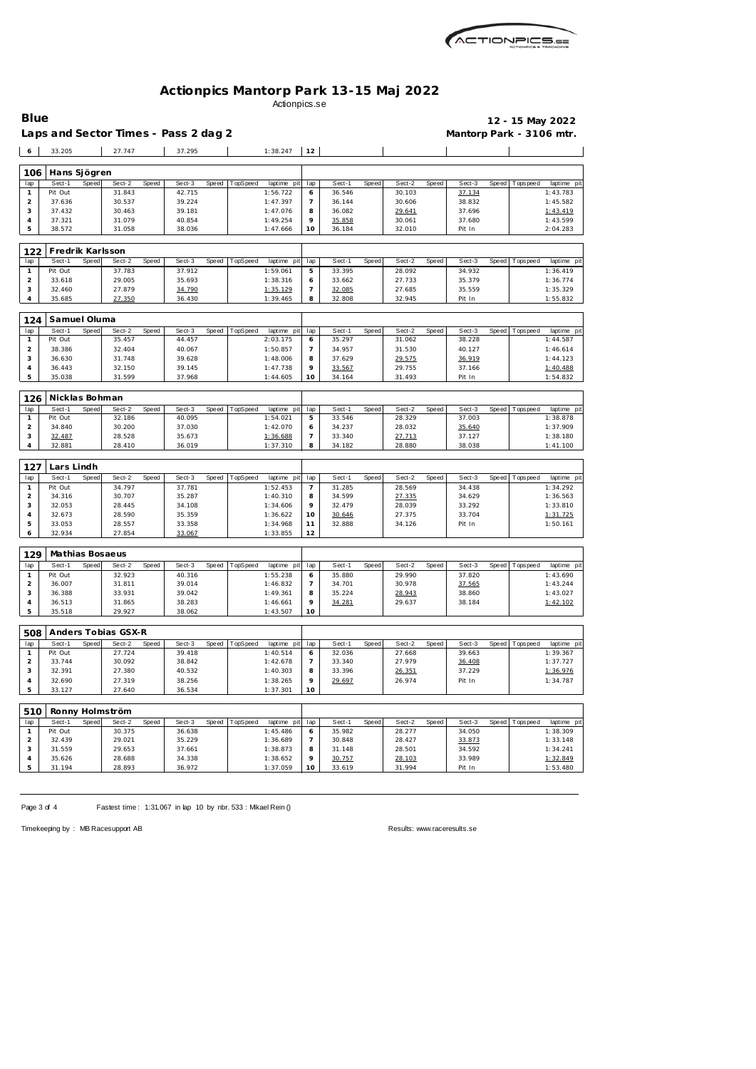

## **Actionpics Mantorp Park 13-15 Maj 2022** Actionpics.se

|                                | Blue                                 |              |                     |       |                  |       |                |                         |                     |                  |              |                  |       |                  |       | 12 - 15 May 2022         |                         |
|--------------------------------|--------------------------------------|--------------|---------------------|-------|------------------|-------|----------------|-------------------------|---------------------|------------------|--------------|------------------|-------|------------------|-------|--------------------------|-------------------------|
|                                | Laps and Sector Times - Pass 2 dag 2 |              |                     |       |                  |       |                |                         |                     |                  |              |                  |       |                  |       | Mantorp Park - 3106 mtr. |                         |
| 6                              | 33.205                               |              | 27.747              |       | 37.295           |       |                | 1:38.247                | 12                  |                  |              |                  |       |                  |       |                          |                         |
|                                |                                      |              |                     |       |                  |       |                |                         |                     |                  |              |                  |       |                  |       |                          |                         |
| 106                            | Hans Sjögren                         |              |                     |       |                  |       |                |                         |                     |                  |              |                  |       |                  |       |                          |                         |
| lap                            | Sect-1                               | Speed        | Sect-2              | Speed | Sect-3           | Speed | TopSpeed       | laptime pit             | lap                 | Sect-1           | Speed        | Sect-2           | Speed | Sect-3           | Speed | Tops peed                | laptime pit             |
| $\mathbf{1}$<br>$\overline{c}$ | Pit Out<br>37.636                    |              | 31.843<br>30.537    |       | 42.715<br>39.224 |       |                | 1:56.722<br>1:47.397    | 6<br>$\overline{7}$ | 36.546<br>36.144 |              | 30.103<br>30.606 |       | 37.134<br>38.832 |       |                          | 1:43.783<br>1:45.582    |
| 3                              | 37.432                               |              | 30.463              |       | 39.181           |       |                | 1:47.076                | 8                   | 36.082           |              | 29.641           |       | 37.696           |       |                          | 1:43.419                |
| 4                              | 37.321                               |              | 31.079              |       | 40.854           |       |                | 1:49.254                | 9                   | 35.858           |              | 30.061           |       | 37.680           |       |                          | 1:43.599                |
| 5                              | 38.572                               |              | 31.058              |       | 38.036           |       |                | 1:47.666                | 10                  | 36.184           |              | 32.010           |       | Pit In           |       |                          | 2:04.283                |
|                                |                                      |              |                     |       |                  |       |                |                         |                     |                  |              |                  |       |                  |       |                          |                         |
| 122                            | Fredrik Karlsson                     |              |                     |       |                  |       |                |                         |                     |                  |              |                  |       |                  |       |                          |                         |
| lap                            | Sect-1                               | Speed        | Sect-2              | Speed | Sect-3           | Speed | TopSpeed       | laptime pit             | lap                 | Sect-1           | Speed        | Sect-2           | Speed | Sect-3           | Speed | T ops pee d              | laptime pit             |
| $\mathbf{1}$                   | Pit Out                              |              | 37.783              |       | 37.912           |       |                | 1:59.061                | 5                   | 33.395           |              | 28.092           |       | 34.932           |       |                          | 1:36.419                |
| $\overline{c}$                 | 33.618                               |              | 29.005              |       | 35.693           |       |                | 1:38.316                | 6                   | 33.662           |              | 27.733           |       | 35.379           |       |                          | 1:36.774                |
| 3                              | 32.460                               |              | 27.879              |       | 34.790           |       |                | 1:35.129                | $\overline{7}$      | 32.085           |              | 27.685           |       | 35.559           |       |                          | 1:35.329                |
| $\overline{A}$                 | 35.685                               |              | 27.350              |       | 36.430           |       |                | 1:39.465                | 8                   | 32.808           |              | 32.945           |       | Pit In           |       |                          | 1:55.832                |
| 124                            | Samuel Oluma                         |              |                     |       |                  |       |                |                         |                     |                  |              |                  |       |                  |       |                          |                         |
| lap                            | Sect-1                               | <b>Speed</b> | Sect-2              | Speed | Sect-3           | Speed | TopSpeed       | laptime pit             | lap                 | Sect-1           | <b>Speed</b> | Sect-2           | Speed | Sect-3           | Speed | Tops pee d               | laptime pit             |
| $\mathbf{1}$                   | Pit Out                              |              | 35.457              |       | 44.457           |       |                | 2:03.175                | 6                   | 35.297           |              | 31.062           |       | 38.228           |       |                          | 1:44.587                |
| 2                              | 38.386                               |              | 32.404              |       | 40.067           |       |                | 1:50.857                | $\overline{7}$      | 34.957           |              | 31.530           |       | 40.127           |       |                          | 1:46.614                |
| 3                              | 36.630                               |              | 31.748              |       | 39.628           |       |                | 1:48.006                | 8                   | 37.629           |              | 29.575           |       | 36.919           |       |                          | 1:44.123                |
| 4                              | 36.443                               |              | 32.150              |       | 39.145           |       |                | 1:47.738                | 9                   | 33.567           |              | 29.755           |       | 37.166           |       |                          | 1:40.488                |
| 5                              | 35.038                               |              | 31.599              |       | 37.968           |       |                | 1:44.605                | 10                  | 34.164           |              | 31.493           |       | Pit In           |       |                          | 1:54.832                |
|                                |                                      |              |                     |       |                  |       |                |                         |                     |                  |              |                  |       |                  |       |                          |                         |
| 126                            | Nicklas Bohman                       |              |                     |       |                  |       |                |                         |                     |                  |              |                  |       |                  |       |                          |                         |
| lap                            | Sect-1<br>Pit Out                    | <b>Speed</b> | Sect-2<br>32.186    | Speed | Sect-3<br>40.095 | Speed | TopSpeed       | laptime pit<br>1:54.021 | lap<br>5            | Sect-1<br>33.546 | Speed        | Sect-2<br>28.329 | Speed | Sect-3<br>37.003 | Speed | T ops pee d              | laptime pit<br>1:38.878 |
| 1<br>$\overline{c}$            | 34.840                               |              | 30.200              |       | 37.030           |       |                | 1:42.070                | 6                   | 34.237           |              | 28.032           |       | 35.640           |       |                          | 1:37.909                |
| 3                              | 32.487                               |              | 28.528              |       | 35.673           |       |                | 1:36.688                | 7                   | 33.340           |              | 27.713           |       | 37.127           |       |                          | 1:38.180                |
| 4                              | 32.881                               |              | 28.410              |       | 36.019           |       |                | 1:37.310                | 8                   | 34.182           |              | 28.880           |       | 38.038           |       |                          | 1:41.100                |
|                                |                                      |              |                     |       |                  |       |                |                         |                     |                  |              |                  |       |                  |       |                          |                         |
| 127                            | Lars Lindh                           |              |                     |       |                  |       |                |                         |                     |                  |              |                  |       |                  |       |                          |                         |
| lap                            | Sect-1                               | Speed        | Sect-2              | Speed | Sect-3           | Speed | TopSpeed       | laptime pit             | lap                 | Sect-1           | Speed        | Sect-2           | Speed | Sect-3           | Speed | T ops pee d              | laptime pit             |
| $\mathbf{1}$                   | Pit Out                              |              | 34.797              |       | 37.781           |       |                | 1:52.453                | $\overline{7}$      | 31.285           |              | 28.569           |       | 34.438           |       |                          | 1:34.292                |
|                                |                                      |              |                     |       | 35.287           |       |                | 1:40.310                |                     | 34.599           |              | 27.335           |       |                  |       |                          | 1:36.563                |
| $\overline{c}$                 | 34.316                               |              | 30.707              |       |                  |       |                |                         | 8                   |                  |              |                  |       | 34.629           |       |                          |                         |
| 3                              | 32.053                               |              | 28.445              |       | 34.108           |       |                | 1:34.606                | 9                   | 32.479           |              | 28.039           |       | 33.292           |       |                          | 1:33.810                |
| 4                              | 32.673                               |              | 28.590              |       | 35.359           |       |                | 1:36.622                | 10                  | 30.646           |              | 27.375           |       | 33.704           |       |                          | 1:31.725                |
| 5                              | 33.053                               |              | 28.557              |       | 33.358           |       |                | 1:34.968                | 11                  | 32.888           |              | 34.126           |       | Pit In           |       |                          | 1:50.161                |
| 6                              | 32.934                               |              | 27.854              |       | 33.067           |       |                | 1:33.855                | 12                  |                  |              |                  |       |                  |       |                          |                         |
|                                |                                      |              |                     |       |                  |       |                |                         |                     |                  |              |                  |       |                  |       |                          |                         |
| 129<br>lap                     | Mathias Bosaeus<br>Sect-1            | Speed        | Sect-2              | Speed | Sect-3           |       | Speed TopSpeed | laptime pit             | lap                 | Sect-1           | Speed        | Sect-2           | Speed | Sect-3           |       | Speed Topspeed           | laptime pit             |
| $\mathbf{1}$                   | Pit Out                              |              | 32.923              |       | 40.316           |       |                | 1:55.238                | 6                   | 35.880           |              | 29.990           |       | 37.820           |       |                          | 1:43.690                |
| $\overline{c}$                 | 36.007                               |              | 31.811              |       | 39.014           |       |                | 1:46.832                | $\overline{7}$      | 34.701           |              | 30.978           |       | 37.565           |       |                          | 1:43.244                |
| 3                              | 36.388                               |              | 33.931              |       | 39.042           |       |                | 1:49.361                | 8                   | 35.224           |              | 28.943           |       | 38.860           |       |                          | 1:43.027                |
| 4                              | 36.513                               |              | 31.865              |       | 38.283           |       |                | 1:46.661                | 9                   | 34.281           |              | 29.637           |       | 38.184           |       |                          | 1:42.102                |
| 5                              | 35.518                               |              | 29.927              |       | 38.062           |       |                | 1:43.507                | 10                  |                  |              |                  |       |                  |       |                          |                         |
|                                |                                      |              |                     |       |                  |       |                |                         |                     |                  |              |                  |       |                  |       |                          |                         |
| 508                            |                                      |              | Anders Tobias GSX-R |       |                  |       |                |                         |                     |                  |              |                  |       |                  |       |                          |                         |
| lap                            | Sect-1                               | Speed        | Sect-2              | Speed | Sect-3           | Speed | TopSpeed       | laptime pit             | lap                 | Sect-1           | Speed        | Sect-2           | Speed | Sect-3           | Speed | Tops pee d               | laptime pit             |
| $\mathbf{1}$                   | Pit Out                              |              | 27.724              |       | 39.418           |       |                | 1:40.514                | 6                   | 32.036           |              | 27.668           |       | 39.663           |       |                          | 1:39.367                |
| 2                              | 33.744                               |              | 30.092              |       | 38.842           |       |                | 1:42.678                | 7                   | 33.340           |              | 27.979           |       | 36.408           |       |                          | 1:37.727                |
| 3                              | 32.391                               |              | 27.380              |       | 40.532           |       |                | 1:40.303                | 8                   | 33.396           |              | 26.351           |       | 37.229           |       |                          | 1:36.976                |
| 4<br>5                         | 32.690<br>33.127                     |              | 27.319<br>27.640    |       | 38.256<br>36.534 |       |                | 1:38.265<br>1:37.301    | 9<br>10             | 29.697           |              | 26.974           |       | Pit In           |       |                          | 1:34.787                |
|                                |                                      |              |                     |       |                  |       |                |                         |                     |                  |              |                  |       |                  |       |                          |                         |
| 510                            | Ronny Holmström                      |              |                     |       |                  |       |                |                         |                     |                  |              |                  |       |                  |       |                          |                         |
| lap                            | Sect-1                               | Speed        | Sect-2              | Speed | Sect-3           | Speed | TopSpeed       | laptime pit             | lap                 | Sect-1           | Speed        | Sect-2           | Speed | Sect-3           | Speed | <b>Topspeed</b>          | laptime pit             |
| $\mathbf{1}$                   | Pit Out                              |              | 30.375              |       | 36.638           |       |                | 1:45.486                | 6                   | 35.982           |              | 28.277           |       | 34.050           |       |                          | 1:38.309                |
| $\overline{a}$                 | 32.439                               |              | 29.021              |       | 35.229           |       |                | 1:36.689                | 7                   | 30.848           |              | 28.427           |       | 33.873           |       |                          | 1:33.148                |
| 3                              | 31.559                               |              | 29.653              |       | 37.661           |       |                | 1:38.873                | 8                   | 31.148           |              | 28.501           |       | 34.592           |       |                          | 1:34.241                |
| 4<br>5                         | 35.626<br>31.194                     |              | 28.688<br>28.893    |       | 34.338<br>36.972 |       |                | 1:38.652<br>1:37.059    | 9<br>10             | 30.757<br>33.619 |              | 28.103<br>31.994 |       | 33.989<br>Pit In |       |                          | 1:32.849<br>1:53.480    |

Page 3 of 4 Fastest time: 1:31.067 in lap 10 by nbr. 533 : Mkael Rein ()